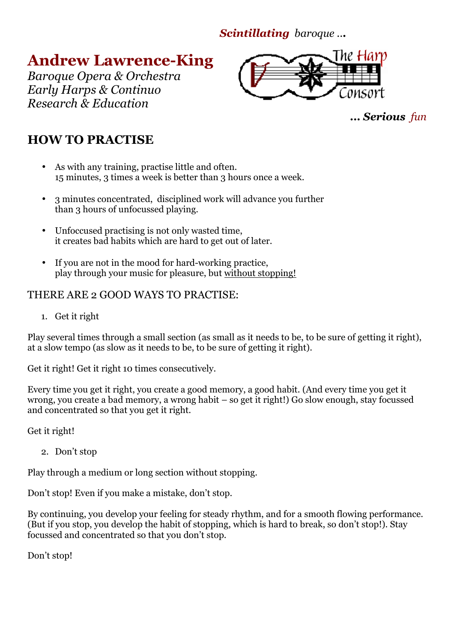*Scintillating baroque ...* 

**Andrew Lawrence-King** 

*Baroque Opera & Orchestra Early Harps & Continuo Research & Education* 



*... Serious fun* 

# **HOW TO PRACTISE**

- As with any training, practise little and often. 15 minutes, 3 times a week is better than 3 hours once a week.
- 3 minutes concentrated, disciplined work will advance you further than 3 hours of unfocussed playing.
- Unfoccused practising is not only wasted time, it creates bad habits which are hard to get out of later.
- If you are not in the mood for hard-working practice, play through your music for pleasure, but without stopping!

## THERE ARE 2 GOOD WAYS TO PRACTISE:

1. Get it right

Play several times through a small section (as small as it needs to be, to be sure of getting it right), at a slow tempo (as slow as it needs to be, to be sure of getting it right).

Get it right! Get it right 10 times consecutively.

Every time you get it right, you create a good memory, a good habit. (And every time you get it wrong, you create a bad memory, a wrong habit – so get it right!) Go slow enough, stay focussed and concentrated so that you get it right.

Get it right!

2. Don't stop

Play through a medium or long section without stopping.

Don't stop! Even if you make a mistake, don't stop.

By continuing, you develop your feeling for steady rhythm, and for a smooth flowing performance. (But if you stop, you develop the habit of stopping, which is hard to break, so don't stop!). Stay focussed and concentrated so that you don't stop.

Don't stop!